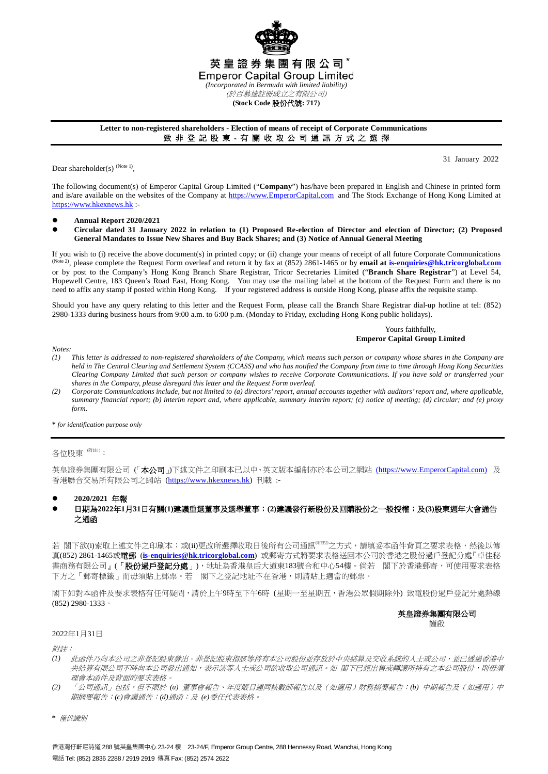

## **Letter to non-registered shareholders - Election of means of receipt of Corporate Communications** 致 非 登 記 股 東 - 有 關 收 取 公 司 通 訊 方 式 之 選 擇

Dear shareholder(s)  $(N^{10})$ 

31 January 2022

The following document(s) of Emperor Capital Group Limited ("**Company**") has/have been prepared in English and Chinese in printed form and is/are available on the websites of the Company at [https://www.EmperorCapital.com](https://www.emperorcapital.com/) and The Stock Exchange of Hong Kong Limited at [https://www.hkexnews.hk](https://www.hkexnews.hk/) :-

- **Annual Report 2020/2021**
- **Circular dated 31 January 2022 in relation to (1) Proposed Re-election of Director and election of Director; (2) Proposed General Mandates to Issue New Shares and Buy Back Shares; and (3) Notice of Annual General Meeting**

If you wish to (i) receive the above document(s) in printed copy; or (ii) change your means of receipt of all future Corporate Communications (Note 2), please complete the Request Form overleaf and return it by fax at (852) 2861-1465 or by **email a[t is-enquiries@hk.tricorglobal.com](mailto:is-enquiries@hk.tricorglobal.com)** or by post to the Company's Hong Kong Branch Share Registrar, Tricor Secretaries Limited ("**Branch Share Registrar**") at Level 54, Hopewell Centre, 183 Queen's Road East, Hong Kong. You may use the mailing label at the bottom of the Request Form and there is no need to affix any stamp if posted within Hong Kong. If your registered address is outside Hong Kong, please affix the requisite stamp.

Should you have any query relating to this letter and the Request Form, please call the Branch Share Registrar dial-up hotline at tel: (852) 2980-1333 during business hours from 9:00 a.m. to 6:00 p.m. (Monday to Friday, excluding Hong Kong public holidays).

> Yours faithfully, **Emperor Capital Group Limited**

*Notes:*

- *(1) This letter is addressed to non-registered shareholders of the Company, which means such person or company whose shares in the Company are held in The Central Clearing and Settlement System (CCASS) and who has notified the Company from time to time through Hong Kong Securities Clearing Company Limited that such person or company wishes to receive Corporate Communications. If you have sold or transferred your shares in the Company, please disregard this letter and the Request Form overleaf.*
- *(2) Corporate Communications include, but not limited to (a) directors' report, annual accounts together with auditors' report and, where applicable, summary financial report; (b) interim report and, where applicable, summary interim report; (c) notice of meeting; (d) circular; and (e) proxy form.*

**\*** *for identification purpose only*

## 各位股東<sup>(附註1)</sup>:

英皇證券集團有限公司(「本公司」)下述文件之印刷本已以中、英文版本編制亦於本公司之網站 [\(https://www.EmperorCapital.com\)](https://www.emperorcapital.com/) 及 香港聯合交易所有限公司之網站 [\(https://www.hkexnews.hk\)](https://www.hkexnews.hk/) 刊載 :-

- **2020/2021** 年報
- 日期為**2022**年**1**月**31**日有關**(1)**建議重選董事及選舉董事;**(2)**建議發行新股份及回購股份之一般授權;及**(3)**股東週年大會通告 之通函

若 閣下欲⑴索取上述文件之印刷本;或(ii)更改所選擇收取日後所有公司通訊<sup>《##过</sup>之方式,請填妥本函件背頁之要求表格,然後以傳 真(852) 2861-1465或電郵 (**[is-enquiries@hk.tricorglobal.com](mailto:is-enquiries@hk.tricorglobal.com)**) 或郵寄方式將要求表格送回本公司於香港之股份過戶登記分處『卓佳秘 書商務有限公司』(「股份過戶登記分處」),地址為香港皇后大道東183號合和中心54樓。倘若 閣下於香港郵寄,可使用要求表格 下方之「郵寄標籤」而毋須貼上郵票。若 閣下之登記地址不在香港,則請貼上適當的郵票。

閣下如對本函件及要求表格有任何疑問,請於上午9時至下午6時 (星期一至星期五,香港公眾假期除外) 致電股份過戶登記分處熱線 (852) 2980-1333。

# 英皇證券集團有限公司

謹啟

#### 2022年1月31日

附註:

- *(1)* 此函件乃向本公司之非登記股東發出。非登記股東指該等持有本公司股份並存放於中央結算及交收系統的人士或公司,並已透過香港中 央結算有限公司不時向本公司發出通知,表示該等人士或公司欲收取公司通訊。如 閣下已經出售或轉讓所持有之本公司股份,則毋須 理會本函件及背面的要求表格。
- *(2)* 「公司通訊」包括,但不限於 *(a)* 董事會報告、年度賬目連同核數師報告以及(如適用)財務摘要報告;*(b)* 中期報告及(如適用)中 期摘要報告;*(c)*會議通告;*(d)*通函;及 *(e)*委任代表表格。
- **\*** 僅供識別